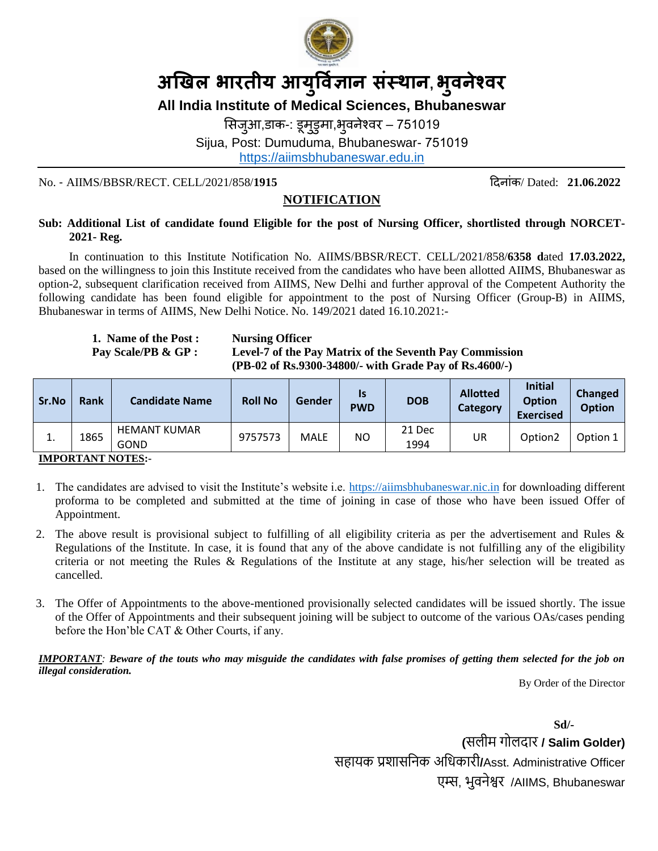

## **अखिल भारतीय आय ु र्वज्ञि ान संस्थान, भ ु वनेश्वर**

**All India Institute of Medical Sciences, Bhubaneswar**

सिजुआ,डाक-: डूमुडुमा,भुवनेश्वर – 751019 Sijua, Post: Dumuduma, Bhubaneswar- 751019 [https://aiimsbhubaneswar.edu.in](https://aiimsbhubaneswar.edu.in/)

No. - AIIMS/BBSR/RECT. CELL/2021/858/**1915** दिनाांक/ Dated: **21.06.2022**

## **Sub: Additional List of candidate found Eligible for the post of Nursing Officer, shortlisted through NORCET-2021- Reg.**

**NOTIFICATION**

In continuation to this Institute Notification No. AIIMS/BBSR/RECT. CELL/2021/858/**6358 d**ated **17.03.2022,**  based on the willingness to join this Institute received from the candidates who have been allotted AIIMS, Bhubaneswar as option-2, subsequent clarification received from AIIMS, New Delhi and further approval of the Competent Authority the following candidate has been found eligible for appointment to the post of Nursing Officer (Group-B) in AIIMS, Bhubaneswar in terms of AIIMS, New Delhi Notice. No. 149/2021 dated 16.10.2021:-

**1. Name of the Post : Nursing Officer Pay Scale/PB & GP : Level-7 of the Pay Matrix of the Seventh Pay Commission (PB-02 of Rs.9300-34800/- with Grade Pay of Rs.4600/-)** 

| Sr.No | Rank | <b>Candidate Name</b>       | <b>Roll No</b> | Gender      | <b>Is</b><br><b>PWD</b> | <b>DOB</b>     | <b>Allotted</b><br><b>Category</b> | <b>Initial</b><br><b>Option</b><br><b>Exercised</b> | Changed<br><b>Option</b> |
|-------|------|-----------------------------|----------------|-------------|-------------------------|----------------|------------------------------------|-----------------------------------------------------|--------------------------|
| ⊥.    | 1865 | <b>HEMANT KUMAR</b><br>GOND | 9757573        | <b>MALE</b> | ΝO                      | 21 Dec<br>1994 | UR                                 | Option <sub>2</sub>                                 | Option 1                 |

## **IMPORTANT NOTES:-**

- 1. The candidates are advised to visit the Institute's website i.e. [https://aiimsbhubaneswar.nic.in](https://aiimsbhubaneswar.nic.in/) for downloading different proforma to be completed and submitted at the time of joining in case of those who have been issued Offer of Appointment.
- 2. The above result is provisional subject to fulfilling of all eligibility criteria as per the advertisement and Rules & Regulations of the Institute. In case, it is found that any of the above candidate is not fulfilling any of the eligibility criteria or not meeting the Rules & Regulations of the Institute at any stage, his/her selection will be treated as cancelled.
- 3. The Offer of Appointments to the above-mentioned provisionally selected candidates will be issued shortly. The issue of the Offer of Appointments and their subsequent joining will be subject to outcome of the various OAs/cases pending before the Hon'ble CAT & Other Courts, if any.

*IMPORTANT: Beware of the touts who may misguide the candidates with false promises of getting them selected for the job on illegal consideration.* 

By Order of the Director

**Sd/- (**सलीम गोलदार **/ Salim Golder)**  सहायक प्रशासनिक अनिकारी**/**Asst. Administrative Officer एम्स, भुविेश्वर /AIIMS, Bhubaneswar